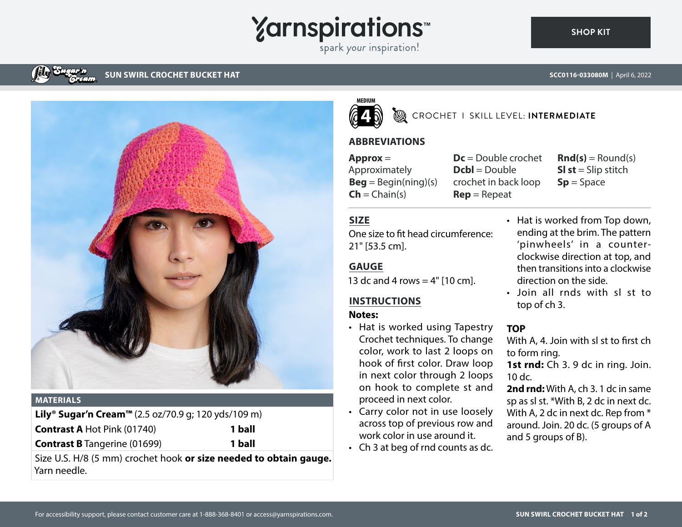# **Yarnspirations**

spark your inspiration!

# **SUN SWIRL CROCHET BUCKET HAT**



#### **MATERIALS**

| <b>Lily<sup>®</sup> Sugar'n Cream™</b> (2.5 oz/70.9 g; 120 yds/109 m) |        |
|-----------------------------------------------------------------------|--------|
| <b>Contrast A Hot Pink (01740)</b>                                    | 1 ball |
| <b>Contrast B</b> Tangerine (01699)                                   | 1 ball |

Size U.S. H/8 (5 mm) crochet hook **or size needed to obtain gauge.** Yarn needle.



#### CROCHET I SKILL LEVEL: **INTERMEDIATE**

## **ABBREVIATIONS**

**Approx** = Approximately  $\text{Beg} = \text{Begin}(\text{ning})(s)$  $\mathsf{Ch} = \mathsf{Chain}(s)$ 

**Dc** = Double crochet **Dcbl** = Double crochet in back loop **Rep** = Repeat

 $\mathbf{Rnd}(s) = \text{Round}(s)$ **SI st** = Slip stitch **Sp** = Space

# **SIZE**

One size to fit head circumference: 21" [53.5 cm].

# **GAUGE**

13 dc and 4 rows  $=$  4" [10 cm].

# **INSTRUCTIONS**

## **Notes:**

- Hat is worked using Tapestry Crochet techniques. To change color, work to last 2 loops on hook of first color. Draw loop in next color through 2 loops on hook to complete st and proceed in next color.
- Carry color not in use loosely across top of previous row and work color in use around it.
- Ch 3 at beg of rnd counts as dc.
- Hat is worked from Top down, ending at the brim. The pattern 'pinwheels' in a counterclockwise direction at top, and then transitions into a clockwise direction on the side.
- Join all rnds with sl st to top of ch 3.

## **TOP**

With A, 4. Join with sl st to first ch to form ring.

1st rnd: Ch 3. 9 dc in ring. Join. 10 dc.

**2nd rnd:** With A, ch 3. 1 dc in same sp as sl st. \*With B, 2 dc in next dc. With A, 2 dc in next dc. Rep from  $*$ around. Join. 20 dc. (5 groups of A and 5 groups of B).